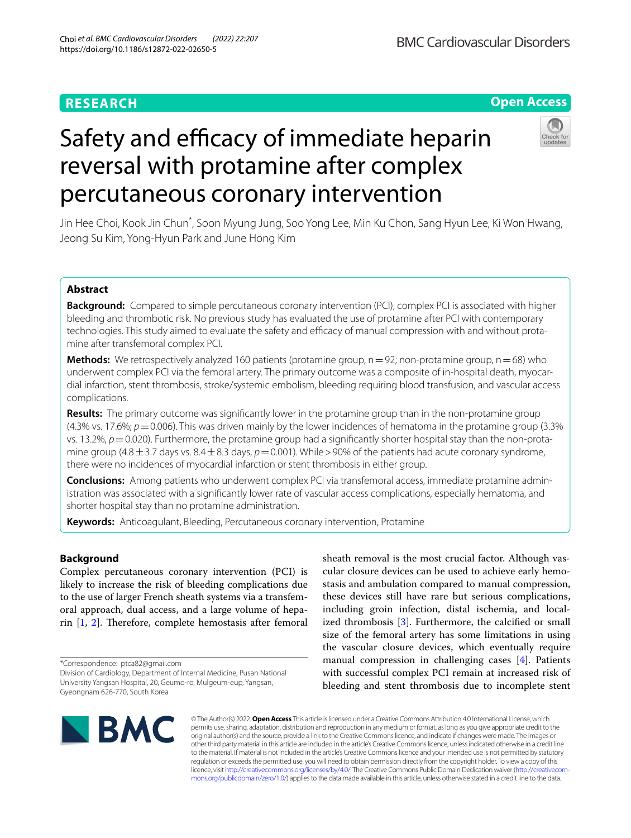# **RESEARCH**

# **Open Access**

**BMC Cardiovascular Disorders** 

# Safety and efficacy of immediate heparin reversal with protamine after complex percutaneous coronary intervention



Jin Hee Choi, Kook Jin Chun\* , Soon Myung Jung, Soo Yong Lee, Min Ku Chon, Sang Hyun Lee, Ki Won Hwang, Jeong Su Kim, Yong‑Hyun Park and June Hong Kim

# **Abstract**

**Background:** Compared to simple percutaneous coronary intervention (PCI), complex PCI is associated with higher bleeding and thrombotic risk. No previous study has evaluated the use of protamine after PCI with contemporary technologies. This study aimed to evaluate the safety and efficacy of manual compression with and without protamine after transfemoral complex PCI.

**Methods:** We retrospectively analyzed 160 patients (protamine group,  $n=92$ ; non-protamine group,  $n=68$ ) who underwent complex PCI via the femoral artery. The primary outcome was a composite of in-hospital death, myocardial infarction, stent thrombosis, stroke/systemic embolism, bleeding requiring blood transfusion, and vascular access complications.

**Results:** The primary outcome was signifcantly lower in the protamine group than in the non-protamine group (4.3% vs. 17.6%;  $p = 0.006$ ). This was driven mainly by the lower incidences of hematoma in the protamine group (3.3%) vs. 13.2%,  $p = 0.020$ ). Furthermore, the protamine group had a significantly shorter hospital stay than the non-protamine group (4.8 $\pm$ 3.7 days vs. 8.4 $\pm$ 8.3 days,  $p=0.001$ ). While > 90% of the patients had acute coronary syndrome, there were no incidences of myocardial infarction or stent thrombosis in either group.

**Conclusions:** Among patients who underwent complex PCI via transfemoral access, immediate protamine admin‑ istration was associated with a signifcantly lower rate of vascular access complications, especially hematoma, and shorter hospital stay than no protamine administration.

**Keywords:** Anticoagulant, Bleeding, Percutaneous coronary intervention, Protamine

# **Background**

Complex percutaneous coronary intervention (PCI) is likely to increase the risk of bleeding complications due to the use of larger French sheath systems via a transfemoral approach, dual access, and a large volume of heparin  $[1, 2]$  $[1, 2]$  $[1, 2]$  $[1, 2]$ . Therefore, complete hemostasis after femoral

\*Correspondence: ptca82@gmail.com

sheath removal is the most crucial factor. Although vascular closure devices can be used to achieve early hemostasis and ambulation compared to manual compression, these devices still have rare but serious complications, including groin infection, distal ischemia, and localized thrombosis [\[3](#page-6-2)]. Furthermore, the calcifed or small size of the femoral artery has some limitations in using the vascular closure devices, which eventually require manual compression in challenging cases [[4\]](#page-6-3). Patients with successful complex PCI remain at increased risk of bleeding and stent thrombosis due to incomplete stent



© The Author(s) 2022. **Open Access** This article is licensed under a Creative Commons Attribution 4.0 International License, which permits use, sharing, adaptation, distribution and reproduction in any medium or format, as long as you give appropriate credit to the original author(s) and the source, provide a link to the Creative Commons licence, and indicate if changes were made. The images or other third party material in this article are included in the article's Creative Commons licence, unless indicated otherwise in a credit line to the material. If material is not included in the article's Creative Commons licence and your intended use is not permitted by statutory regulation or exceeds the permitted use, you will need to obtain permission directly from the copyright holder. To view a copy of this licence, visit [http://creativecommons.org/licenses/by/4.0/.](http://creativecommons.org/licenses/by/4.0/) The Creative Commons Public Domain Dedication waiver (http://creativecom[mons.org/publicdomain/zero/1.0/\)](http://creativecommons.org/publicdomain/zero/1.0/) applies to the data made available in this article, unless otherwise stated in a credit line to the data.

Division of Cardiology, Department of Internal Medicine, Pusan National University Yangsan Hospital, 20, Geumo‑ro, Mulgeum‑eup, Yangsan, Gyeongnam 626‑770, South Korea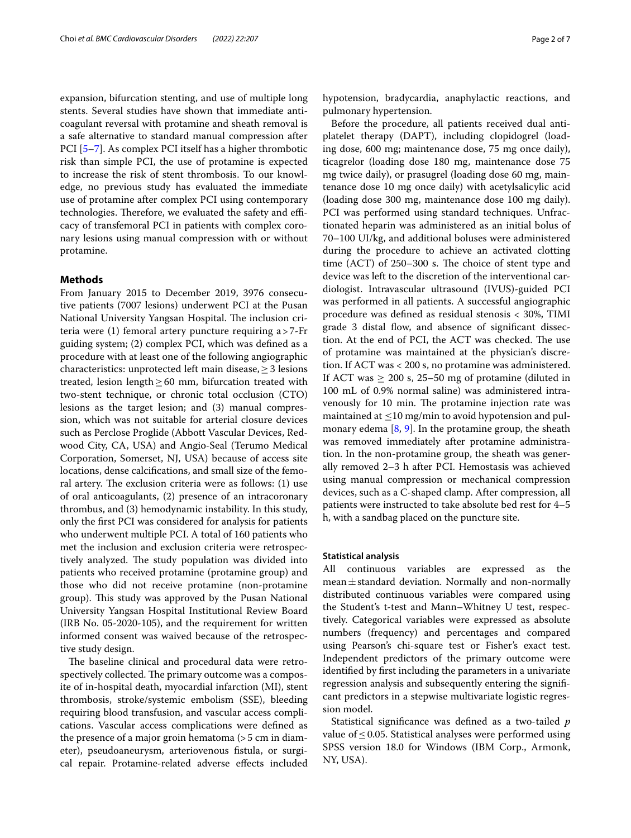expansion, bifurcation stenting, and use of multiple long stents. Several studies have shown that immediate anticoagulant reversal with protamine and sheath removal is a safe alternative to standard manual compression after PCI [\[5](#page-6-4)[–7\]](#page-6-5). As complex PCI itself has a higher thrombotic risk than simple PCI, the use of protamine is expected to increase the risk of stent thrombosis. To our knowledge, no previous study has evaluated the immediate use of protamine after complex PCI using contemporary technologies. Therefore, we evaluated the safety and efficacy of transfemoral PCI in patients with complex coronary lesions using manual compression with or without protamine.

#### **Methods**

From January 2015 to December 2019, 3976 consecutive patients (7007 lesions) underwent PCI at the Pusan National University Yangsan Hospital. The inclusion criteria were (1) femoral artery puncture requiring a>7-Fr guiding system; (2) complex PCI, which was defned as a procedure with at least one of the following angiographic characteristics: unprotected left main disease,≥3 lesions treated, lesion length  $\geq 60$  mm, bifurcation treated with two-stent technique, or chronic total occlusion (CTO) lesions as the target lesion; and (3) manual compression, which was not suitable for arterial closure devices such as Perclose Proglide (Abbott Vascular Devices, Redwood City, CA, USA) and Angio-Seal (Terumo Medical Corporation, Somerset, NJ, USA) because of access site locations, dense calcifcations, and small size of the femoral artery. The exclusion criteria were as follows: (1) use of oral anticoagulants, (2) presence of an intracoronary thrombus, and (3) hemodynamic instability. In this study, only the frst PCI was considered for analysis for patients who underwent multiple PCI. A total of 160 patients who met the inclusion and exclusion criteria were retrospectively analyzed. The study population was divided into patients who received protamine (protamine group) and those who did not receive protamine (non-protamine group). This study was approved by the Pusan National University Yangsan Hospital Institutional Review Board (IRB No. 05-2020-105), and the requirement for written informed consent was waived because of the retrospective study design.

The baseline clinical and procedural data were retrospectively collected. The primary outcome was a composite of in-hospital death, myocardial infarction (MI), stent thrombosis, stroke/systemic embolism (SSE), bleeding requiring blood transfusion, and vascular access complications. Vascular access complications were defned as the presence of a major groin hematoma (>5 cm in diameter), pseudoaneurysm, arteriovenous fstula, or surgical repair. Protamine-related adverse efects included hypotension, bradycardia, anaphylactic reactions, and pulmonary hypertension.

Before the procedure, all patients received dual antiplatelet therapy (DAPT), including clopidogrel (loading dose, 600 mg; maintenance dose, 75 mg once daily), ticagrelor (loading dose 180 mg, maintenance dose 75 mg twice daily), or prasugrel (loading dose 60 mg, maintenance dose 10 mg once daily) with acetylsalicylic acid (loading dose 300 mg, maintenance dose 100 mg daily). PCI was performed using standard techniques. Unfractionated heparin was administered as an initial bolus of 70–100 UI/kg, and additional boluses were administered during the procedure to achieve an activated clotting time  $(ACT)$  of 250–300 s. The choice of stent type and device was left to the discretion of the interventional cardiologist. Intravascular ultrasound (IVUS)-guided PCI was performed in all patients. A successful angiographic procedure was defned as residual stenosis < 30%, TIMI grade 3 distal flow, and absence of significant dissection. At the end of PCI, the ACT was checked. The use of protamine was maintained at the physician's discretion. If ACT was < 200 s, no protamine was administered. If ACT was  $\geq 200$  s, 25–50 mg of protamine (diluted in 100 mL of 0.9% normal saline) was administered intravenously for 10 min. The protamine injection rate was maintained at  $\leq$ 10 mg/min to avoid hypotension and pulmonary edema [\[8,](#page-6-6) [9\]](#page-6-7). In the protamine group, the sheath was removed immediately after protamine administration. In the non-protamine group, the sheath was generally removed 2–3 h after PCI. Hemostasis was achieved using manual compression or mechanical compression devices, such as a C-shaped clamp. After compression, all patients were instructed to take absolute bed rest for 4–5 h, with a sandbag placed on the puncture site.

#### **Statistical analysis**

All continuous variables are expressed as the mean $\pm$ standard deviation. Normally and non-normally distributed continuous variables were compared using the Student's t-test and Mann–Whitney U test, respectively. Categorical variables were expressed as absolute numbers (frequency) and percentages and compared using Pearson's chi-square test or Fisher's exact test. Independent predictors of the primary outcome were identifed by frst including the parameters in a univariate regression analysis and subsequently entering the signifcant predictors in a stepwise multivariate logistic regression model.

Statistical signifcance was defned as a two-tailed *p* value of  $\leq$  0.05. Statistical analyses were performed using SPSS version 18.0 for Windows (IBM Corp., Armonk, NY, USA).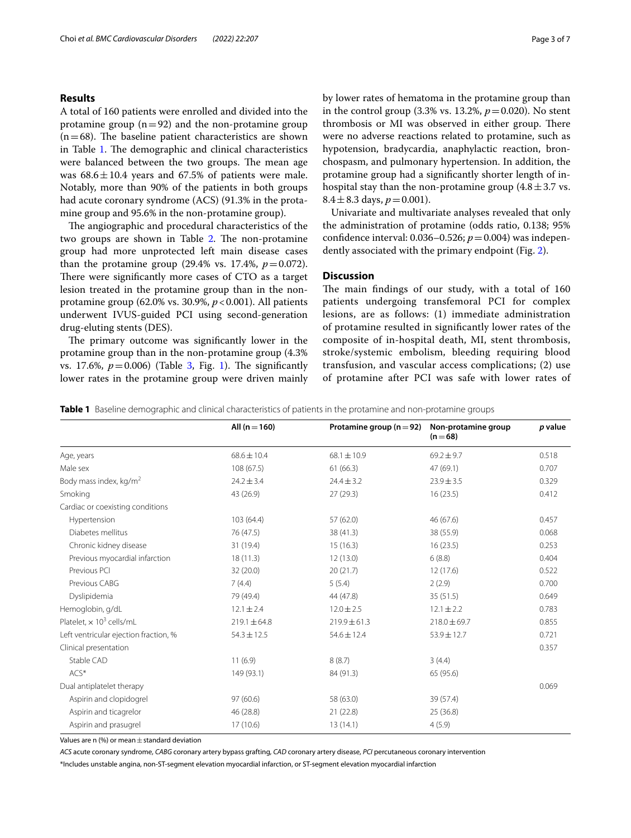## **Results**

A total of 160 patients were enrolled and divided into the protamine group  $(n=92)$  and the non-protamine group  $(n=68)$ . The baseline patient characteristics are shown in Table [1.](#page-2-0) The demographic and clinical characteristics were balanced between the two groups. The mean age was  $68.6 \pm 10.4$  years and 67.5% of patients were male. Notably, more than 90% of the patients in both groups had acute coronary syndrome (ACS) (91.3% in the protamine group and 95.6% in the non-protamine group).

The angiographic and procedural characteristics of the two groups are shown in Table [2.](#page-3-0) The non-protamine group had more unprotected left main disease cases than the protamine group  $(29.4\% \text{ vs. } 17.4\%, p=0.072)$ . There were significantly more cases of CTO as a target lesion treated in the protamine group than in the nonprotamine group (62.0% vs. 30.9%, *p*<0.001). All patients underwent IVUS-guided PCI using second-generation drug-eluting stents (DES).

The primary outcome was significantly lower in the protamine group than in the non-protamine group (4.3% vs. 17.6%,  $p = 0.006$ ) (Table [3](#page-3-1), Fig. [1\)](#page-4-0). The significantly lower rates in the protamine group were driven mainly by lower rates of hematoma in the protamine group than in the control group  $(3.3\% \text{ vs. } 13.2\%, p=0.020)$ . No stent thrombosis or MI was observed in either group. There were no adverse reactions related to protamine, such as hypotension, bradycardia, anaphylactic reaction, bronchospasm, and pulmonary hypertension. In addition, the protamine group had a signifcantly shorter length of inhospital stay than the non-protamine group  $(4.8 \pm 3.7 \text{ vs.})$  $8.4 \pm 8.3$  days,  $p = 0.001$ ).

Univariate and multivariate analyses revealed that only the administration of protamine (odds ratio, 0.138; 95% confdence interval: 0.036–0.526; *p*=0.004) was independently associated with the primary endpoint (Fig. [2](#page-4-1)).

## **Discussion**

The main findings of our study, with a total of 160 patients undergoing transfemoral PCI for complex lesions, are as follows: (1) immediate administration of protamine resulted in signifcantly lower rates of the composite of in-hospital death, MI, stent thrombosis, stroke/systemic embolism, bleeding requiring blood transfusion, and vascular access complications; (2) use of protamine after PCI was safe with lower rates of

<span id="page-2-0"></span>**Table 1** Baseline demographic and clinical characteristics of patients in the protamine and non-protamine groups

|                                             | All $(n = 160)$  | Protamine group ( $n = 92$ ) | Non-protamine group<br>$(n=68)$ | p value |
|---------------------------------------------|------------------|------------------------------|---------------------------------|---------|
| Age, years                                  | $68.6 \pm 10.4$  | $68.1 \pm 10.9$              | $69.2 \pm 9.7$                  | 0.518   |
| Male sex                                    | 108 (67.5)       | 61(66.3)                     | 47 (69.1)                       | 0.707   |
| Body mass index, kg/m <sup>2</sup>          | $24.2 \pm 3.4$   | $24.4 \pm 3.2$               | $23.9 \pm 3.5$                  | 0.329   |
| Smoking                                     | 43 (26.9)        | 27(29.3)                     | 16(23.5)                        | 0.412   |
| Cardiac or coexisting conditions            |                  |                              |                                 |         |
| Hypertension                                | 103(64.4)        | 57 (62.0)                    | 46 (67.6)                       | 0.457   |
| Diabetes mellitus                           | 76 (47.5)        | 38 (41.3)                    | 38 (55.9)                       | 0.068   |
| Chronic kidney disease                      | 31 (19.4)        | 15(16.3)                     | 16(23.5)                        | 0.253   |
| Previous myocardial infarction              | 18(11.3)         | 12(13.0)                     | 6(8.8)                          | 0.404   |
| Previous PCI                                | 32 (20.0)        | 20(21.7)                     | 12(17.6)                        | 0.522   |
| Previous CABG                               | 7(4.4)           | 5(5.4)                       | 2(2.9)                          | 0.700   |
| Dyslipidemia                                | 79 (49.4)        | 44 (47.8)                    | 35(51.5)                        | 0.649   |
| Hemoglobin, g/dL                            | $12.1 \pm 2.4$   | $12.0 \pm 2.5$               | $12.1 \pm 2.2$                  | 0.783   |
| Platelet. $\times$ 10 <sup>3</sup> cells/mL | $219.1 \pm 64.8$ | $219.9 \pm 61.3$             | $218.0 \pm 69.7$                | 0.855   |
| Left ventricular ejection fraction, %       | $54.3 \pm 12.5$  | $54.6 \pm 12.4$              | 53.9±12.7                       | 0.721   |
| Clinical presentation                       |                  |                              |                                 | 0.357   |
| Stable CAD                                  | 11(6.9)          | 8(8.7)                       | 3(4.4)                          |         |
| $ACS^*$                                     | 149 (93.1)       | 84 (91.3)                    | 65 (95.6)                       |         |
| Dual antiplatelet therapy                   |                  |                              |                                 | 0.069   |
| Aspirin and clopidogrel                     | 97(60.6)         | 58 (63.0)                    | 39 (57.4)                       |         |
| Aspirin and ticagrelor                      | 46 (28.8)        | 21(22.8)                     | 25 (36.8)                       |         |
| Aspirin and prasugrel                       | 17(10.6)         | 13(14.1)                     | 4(5.9)                          |         |

Values are n  $(\%)$  or mean  $\pm$  standard deviation

*ACS* acute coronary syndrome, *CABG* coronary artery bypass grafting, *CAD* coronary artery disease, *PCI* percutaneous coronary intervention \*Includes unstable angina, non-ST-segment elevation myocardial infarction, or ST-segment elevation myocardial infarction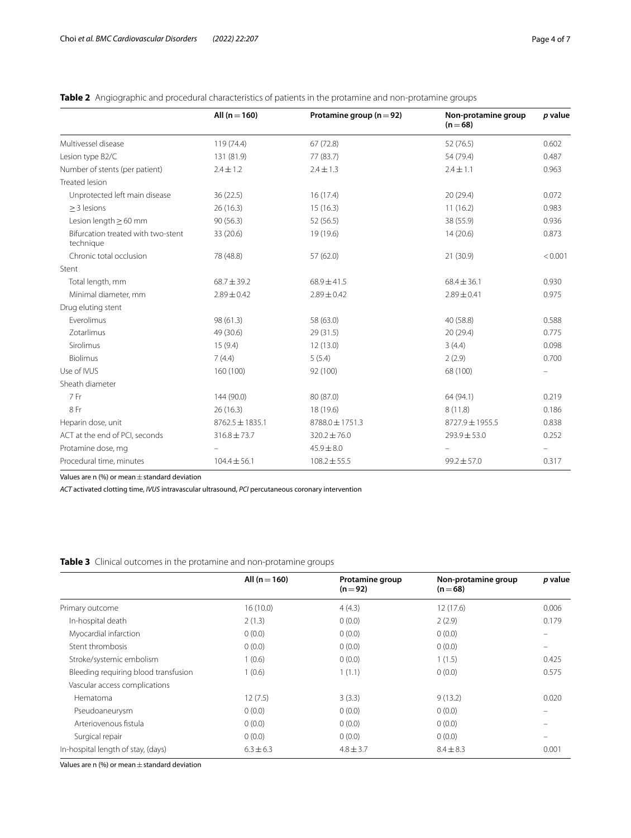|                                                 | All $(n = 160)$     | Protamine group ( $n = 92$ ) | Non-protamine group<br>$(n=68)$ | p value |
|-------------------------------------------------|---------------------|------------------------------|---------------------------------|---------|
| Multivessel disease                             | 119 (74.4)          | 67(72.8)                     | 52 (76.5)                       | 0.602   |
| Lesion type B2/C                                | 131 (81.9)          | 77 (83.7)                    | 54 (79.4)                       | 0.487   |
| Number of stents (per patient)                  | $2.4 \pm 1.2$       | $2.4 \pm 1.3$                | $2.4 \pm 1.1$                   | 0.963   |
| <b>Treated lesion</b>                           |                     |                              |                                 |         |
| Unprotected left main disease                   | 36(22.5)            | 16(17.4)                     | 20 (29.4)                       | 0.072   |
| $>$ 3 lesions                                   | 26 (16.3)           | 15(16.3)                     | 11(16.2)                        | 0.983   |
| Lesion length $\geq 60$ mm                      | 90(56.3)            | 52 (56.5)                    | 38 (55.9)                       | 0.936   |
| Bifurcation treated with two-stent<br>technique | 33 (20.6)           | 19 (19.6)                    | 14(20.6)                        | 0.873   |
| Chronic total occlusion                         | 78 (48.8)           | 57 (62.0)                    | 21 (30.9)                       | < 0.001 |
| Stent                                           |                     |                              |                                 |         |
| Total length, mm                                | $68.7 \pm 39.2$     | $68.9 \pm 41.5$              | $68.4 \pm 36.1$                 | 0.930   |
| Minimal diameter, mm                            | $2.89 \pm 0.42$     | $2.89 \pm 0.42$              | $2.89 \pm 0.41$                 | 0.975   |
| Drug eluting stent                              |                     |                              |                                 |         |
| Everolimus                                      | 98 (61.3)           | 58 (63.0)                    | 40 (58.8)                       | 0.588   |
| Zotarlimus                                      | 49 (30.6)           | 29 (31.5)                    | 20 (29.4)                       | 0.775   |
| Sirolimus                                       | 15(9.4)             | 12 (13.0)                    | 3(4.4)                          | 0.098   |
| <b>Biolimus</b>                                 | 7(4.4)              | 5(5.4)                       | 2(2.9)                          | 0.700   |
| Use of IVUS                                     | 160 (100)           | 92 (100)                     | 68 (100)                        |         |
| Sheath diameter                                 |                     |                              |                                 |         |
| 7 Fr                                            | 144 (90.0)          | 80 (87.0)                    | 64 (94.1)                       | 0.219   |
| 8 Fr                                            | 26(16.3)            | 18 (19.6)                    | 8(11.8)                         | 0.186   |
| Heparin dose, unit                              | $8762.5 \pm 1835.1$ | 8788.0 ± 1751.3              | $8727.9 \pm 1955.5$             | 0.838   |
| ACT at the end of PCI, seconds                  | $316.8 \pm 73.7$    | $320.2 \pm 76.0$             | $293.9 \pm 53.0$                | 0.252   |
| Protamine dose, mg                              |                     | $45.9 \pm 8.0$               |                                 |         |
| Procedural time, minutes                        | $104.4 \pm 56.1$    | $108.2 \pm 55.5$             | $99.2 \pm 57.0$                 | 0.317   |

<span id="page-3-0"></span>**Table 2** Angiographic and procedural characteristics of patients in the protamine and non-protamine groups

Values are n  $%$  or mean  $\pm$  standard deviation

*ACT* activated clotting time, *IVUS* intravascular ultrasound, *PCI* percutaneous coronary intervention

<span id="page-3-1"></span>

|  |  |  |  |  | Table 3 Clinical outcomes in the protamine and non-protamine groups |  |
|--|--|--|--|--|---------------------------------------------------------------------|--|
|--|--|--|--|--|---------------------------------------------------------------------|--|

|                                      | All ( $n = 160$ ) | <b>Protamine group</b><br>$(n=92)$ | Non-protamine group<br>$(n=68)$ | p value |
|--------------------------------------|-------------------|------------------------------------|---------------------------------|---------|
|                                      |                   |                                    |                                 |         |
| Primary outcome                      | 16(10.0)          | 4(4.3)                             | 12(17.6)                        | 0.006   |
| In-hospital death                    | 2(1.3)            | 0(0.0)                             | 2(2.9)                          | 0.179   |
| Myocardial infarction                | 0(0.0)            | 0(0.0)                             | 0(0.0)                          |         |
| Stent thrombosis                     | 0(0.0)            | 0(0.0)                             | 0(0.0)                          |         |
| Stroke/systemic embolism             | 1(0.6)            | 0(0.0)                             | 1(1.5)                          | 0.425   |
| Bleeding requiring blood transfusion | 1(0.6)            | 1(1.1)                             | 0(0.0)                          | 0.575   |
| Vascular access complications        |                   |                                    |                                 |         |
| Hematoma                             | 12(7.5)           | 3(3.3)                             | 9(13.2)                         | 0.020   |
| Pseudoaneurysm                       | 0(0.0)            | 0(0.0)                             | 0(0.0)                          |         |
| Arteriovenous fistula                | 0(0.0)            | 0(0.0)                             | 0(0.0)                          |         |
| Surgical repair                      | 0(0.0)            | 0(0.0)                             | 0(0.0)                          |         |
| In-hospital length of stay, (days)   | $6.3 \pm 6.3$     | $4.8 \pm 3.7$                      | $8.4 \pm 8.3$                   | 0.001   |

Values are n  $%$  or mean  $\pm$  standard deviation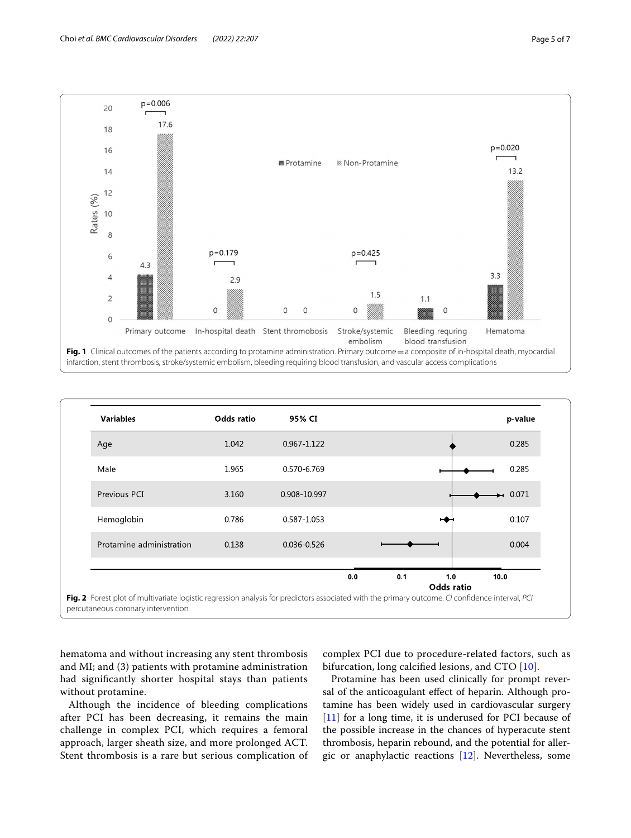

<span id="page-4-0"></span>

<span id="page-4-1"></span>hematoma and without increasing any stent thrombosis and MI; and (3) patients with protamine administration had signifcantly shorter hospital stays than patients without protamine.

Although the incidence of bleeding complications after PCI has been decreasing, it remains the main challenge in complex PCI, which requires a femoral approach, larger sheath size, and more prolonged ACT. Stent thrombosis is a rare but serious complication of

complex PCI due to procedure-related factors, such as bifurcation, long calcified lesions, and CTO [[10\]](#page-6-8).

Protamine has been used clinically for prompt reversal of the anticoagulant efect of heparin. Although protamine has been widely used in cardiovascular surgery [[11\]](#page-6-9) for a long time, it is underused for PCI because of the possible increase in the chances of hyperacute stent thrombosis, heparin rebound, and the potential for allergic or anaphylactic reactions [[12\]](#page-6-10). Nevertheless, some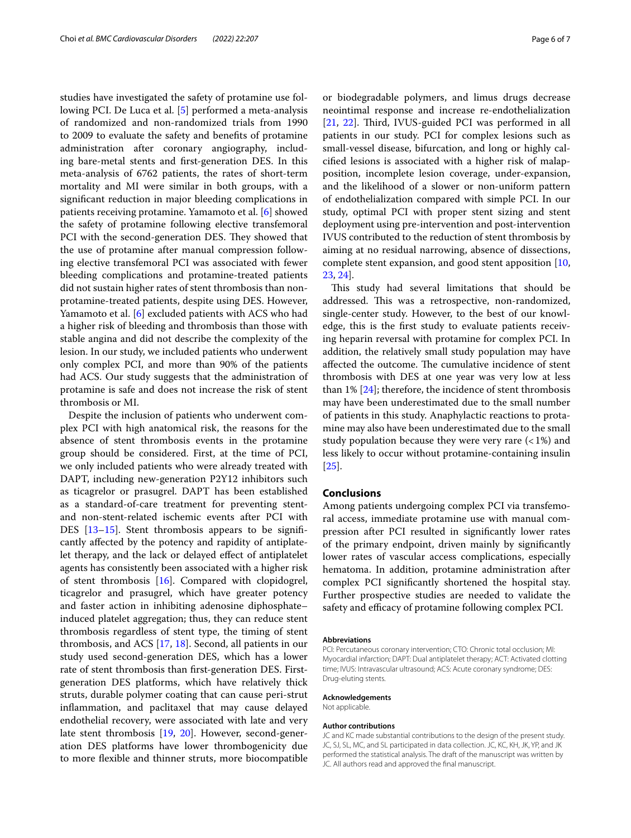studies have investigated the safety of protamine use following PCI. De Luca et al. [\[5](#page-6-4)] performed a meta-analysis of randomized and non-randomized trials from 1990 to 2009 to evaluate the safety and benefts of protamine administration after coronary angiography, including bare-metal stents and frst-generation DES. In this meta-analysis of 6762 patients, the rates of short-term mortality and MI were similar in both groups, with a signifcant reduction in major bleeding complications in patients receiving protamine. Yamamoto et al. [\[6](#page-6-11)] showed the safety of protamine following elective transfemoral PCI with the second-generation DES. They showed that the use of protamine after manual compression following elective transfemoral PCI was associated with fewer bleeding complications and protamine-treated patients did not sustain higher rates of stent thrombosis than nonprotamine-treated patients, despite using DES. However, Yamamoto et al. [[6\]](#page-6-11) excluded patients with ACS who had a higher risk of bleeding and thrombosis than those with stable angina and did not describe the complexity of the lesion. In our study, we included patients who underwent only complex PCI, and more than 90% of the patients had ACS. Our study suggests that the administration of protamine is safe and does not increase the risk of stent thrombosis or MI.

Despite the inclusion of patients who underwent complex PCI with high anatomical risk, the reasons for the absence of stent thrombosis events in the protamine group should be considered. First, at the time of PCI, we only included patients who were already treated with DAPT, including new-generation P2Y12 inhibitors such as ticagrelor or prasugrel. DAPT has been established as a standard-of-care treatment for preventing stentand non-stent-related ischemic events after PCI with DES [[13–](#page-6-12)[15\]](#page-6-13). Stent thrombosis appears to be significantly afected by the potency and rapidity of antiplatelet therapy, and the lack or delayed efect of antiplatelet agents has consistently been associated with a higher risk of stent thrombosis [\[16\]](#page-6-14). Compared with clopidogrel, ticagrelor and prasugrel, which have greater potency and faster action in inhibiting adenosine diphosphate– induced platelet aggregation; thus, they can reduce stent thrombosis regardless of stent type, the timing of stent thrombosis, and ACS [[17](#page-6-15), [18](#page-6-16)]. Second, all patients in our study used second-generation DES, which has a lower rate of stent thrombosis than frst-generation DES. Firstgeneration DES platforms, which have relatively thick struts, durable polymer coating that can cause peri-strut infammation, and paclitaxel that may cause delayed endothelial recovery, were associated with late and very late stent thrombosis [[19](#page-6-17), [20\]](#page-6-18). However, second-generation DES platforms have lower thrombogenicity due to more fexible and thinner struts, more biocompatible

or biodegradable polymers, and limus drugs decrease neointimal response and increase re-endothelialization [[21,](#page-6-19) [22\]](#page-6-20). Third, IVUS-guided PCI was performed in all patients in our study. PCI for complex lesions such as small-vessel disease, bifurcation, and long or highly calcifed lesions is associated with a higher risk of malapposition, incomplete lesion coverage, under-expansion, and the likelihood of a slower or non-uniform pattern of endothelialization compared with simple PCI. In our study, optimal PCI with proper stent sizing and stent deployment using pre-intervention and post-intervention IVUS contributed to the reduction of stent thrombosis by aiming at no residual narrowing, absence of dissections, complete stent expansion, and good stent apposition [[10](#page-6-8), [23,](#page-6-21) [24\]](#page-6-22).

This study had several limitations that should be addressed. This was a retrospective, non-randomized, single-center study. However, to the best of our knowledge, this is the frst study to evaluate patients receiving heparin reversal with protamine for complex PCI. In addition, the relatively small study population may have affected the outcome. The cumulative incidence of stent thrombosis with DES at one year was very low at less than 1% [[24\]](#page-6-22); therefore, the incidence of stent thrombosis may have been underestimated due to the small number of patients in this study. Anaphylactic reactions to protamine may also have been underestimated due to the small study population because they were very rare  $\left( < 1\% \right)$  and less likely to occur without protamine-containing insulin [[25\]](#page-6-23).

#### **Conclusions**

Among patients undergoing complex PCI via transfemoral access, immediate protamine use with manual compression after PCI resulted in signifcantly lower rates of the primary endpoint, driven mainly by signifcantly lower rates of vascular access complications, especially hematoma. In addition, protamine administration after complex PCI signifcantly shortened the hospital stay. Further prospective studies are needed to validate the safety and efficacy of protamine following complex PCI.

#### **Abbreviations**

PCI: Percutaneous coronary intervention; CTO: Chronic total occlusion; MI: Myocardial infarction; DAPT: Dual antiplatelet therapy; ACT: Activated clotting time; IVUS: Intravascular ultrasound; ACS: Acute coronary syndrome; DES: Drug-eluting stents.

#### **Acknowledgements**

Not applicable.

#### **Author contributions**

JC and KC made substantial contributions to the design of the present study. JC, SJ, SL, MC, and SL participated in data collection. JC, KC, KH, JK, YP, and JK performed the statistical analysis. The draft of the manuscript was written by JC. All authors read and approved the final manuscript.